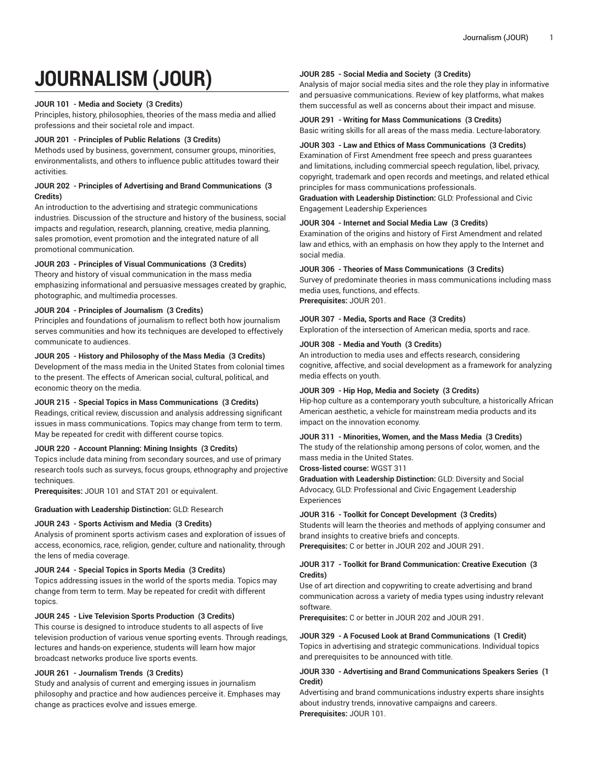# **JOURNALISM (JOUR)**

## **JOUR 101 - Media and Society (3 Credits)**

Principles, history, philosophies, theories of the mass media and allied professions and their societal role and impact.

## **JOUR 201 - Principles of Public Relations (3 Credits)**

Methods used by business, government, consumer groups, minorities, environmentalists, and others to influence public attitudes toward their activities.

## **JOUR 202 - Principles of Advertising and Brand Communications (3 Credits)**

An introduction to the advertising and strategic communications industries. Discussion of the structure and history of the business, social impacts and regulation, research, planning, creative, media planning, sales promotion, event promotion and the integrated nature of all promotional communication.

# **JOUR 203 - Principles of Visual Communications (3 Credits)**

Theory and history of visual communication in the mass media emphasizing informational and persuasive messages created by graphic, photographic, and multimedia processes.

## **JOUR 204 - Principles of Journalism (3 Credits)**

Principles and foundations of journalism to reflect both how journalism serves communities and how its techniques are developed to effectively communicate to audiences.

## **JOUR 205 - History and Philosophy of the Mass Media (3 Credits)**

Development of the mass media in the United States from colonial times to the present. The effects of American social, cultural, political, and economic theory on the media.

# **JOUR 215 - Special Topics in Mass Communications (3 Credits)**

Readings, critical review, discussion and analysis addressing significant issues in mass communications. Topics may change from term to term. May be repeated for credit with different course topics.

# **JOUR 220 - Account Planning: Mining Insights (3 Credits)**

Topics include data mining from secondary sources, and use of primary research tools such as surveys, focus groups, ethnography and projective techniques.

**Prerequisites:** JOUR 101 and STAT 201 or equivalent.

## **Graduation with Leadership Distinction:** GLD: Research

# **JOUR 243 - Sports Activism and Media (3 Credits)**

Analysis of prominent sports activism cases and exploration of issues of access, economics, race, religion, gender, culture and nationality, through the lens of media coverage.

## **JOUR 244 - Special Topics in Sports Media (3 Credits)**

Topics addressing issues in the world of the sports media. Topics may change from term to term. May be repeated for credit with different topics.

## **JOUR 245 - Live Television Sports Production (3 Credits)**

This course is designed to introduce students to all aspects of live television production of various venue sporting events. Through readings, lectures and hands-on experience, students will learn how major broadcast networks produce live sports events.

## **JOUR 261 - Journalism Trends (3 Credits)**

Study and analysis of current and emerging issues in journalism philosophy and practice and how audiences perceive it. Emphases may change as practices evolve and issues emerge.

## **JOUR 285 - Social Media and Society (3 Credits)**

Analysis of major social media sites and the role they play in informative and persuasive communications. Review of key platforms, what makes them successful as well as concerns about their impact and misuse.

# **JOUR 291 - Writing for Mass Communications (3 Credits)**

Basic writing skills for all areas of the mass media. Lecture-laboratory.

## **JOUR 303 - Law and Ethics of Mass Communications (3 Credits)**

Examination of First Amendment free speech and press guarantees and limitations, including commercial speech regulation, libel, privacy, copyright, trademark and open records and meetings, and related ethical principles for mass communications professionals.

**Graduation with Leadership Distinction:** GLD: Professional and Civic Engagement Leadership Experiences

## **JOUR 304 - Internet and Social Media Law (3 Credits)**

Examination of the origins and history of First Amendment and related law and ethics, with an emphasis on how they apply to the Internet and social media.

## **JOUR 306 - Theories of Mass Communications (3 Credits)**

Survey of predominate theories in mass communications including mass media uses, functions, and effects. **Prerequisites:** JOUR 201.

# **JOUR 307 - Media, Sports and Race (3 Credits)**

Exploration of the intersection of American media, sports and race.

## **JOUR 308 - Media and Youth (3 Credits)**

An introduction to media uses and effects research, considering cognitive, affective, and social development as a framework for analyzing media effects on youth.

## **JOUR 309 - Hip Hop, Media and Society (3 Credits)**

Hip-hop culture as a contemporary youth subculture, a historically African American aesthetic, a vehicle for mainstream media products and its impact on the innovation economy.

## **JOUR 311 - Minorities, Women, and the Mass Media (3 Credits)**

The study of the relationship among persons of color, women, and the mass media in the United States.

**Cross-listed course:** WGST 311

**Graduation with Leadership Distinction:** GLD: Diversity and Social Advocacy, GLD: Professional and Civic Engagement Leadership Experiences

## **JOUR 316 - Toolkit for Concept Development (3 Credits)**

Students will learn the theories and methods of applying consumer and brand insights to creative briefs and concepts.

**Prerequisites:** C or better in JOUR 202 and JOUR 291.

## **JOUR 317 - Toolkit for Brand Communication: Creative Execution (3 Credits)**

Use of art direction and copywriting to create advertising and brand communication across a variety of media types using industry relevant software.

**Prerequisites:** C or better in JOUR 202 and JOUR 291.

## **JOUR 329 - A Focused Look at Brand Communications (1 Credit)**

Topics in advertising and strategic communications. Individual topics and prerequisites to be announced with title.

## **JOUR 330 - Advertising and Brand Communications Speakers Series (1 Credit)**

Advertising and brand communications industry experts share insights about industry trends, innovative campaigns and careers. **Prerequisites:** JOUR 101.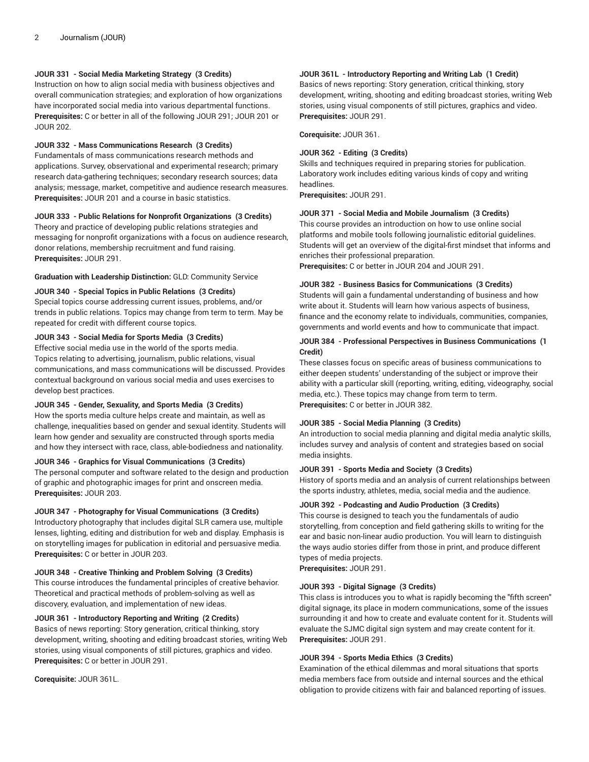# **JOUR 331 - Social Media Marketing Strategy (3 Credits)**

Instruction on how to align social media with business objectives and overall communication strategies; and exploration of how organizations have incorporated social media into various departmental functions. **Prerequisites:** C or better in all of the following JOUR 291; JOUR 201 or JOUR 202.

#### **JOUR 332 - Mass Communications Research (3 Credits)**

Fundamentals of mass communications research methods and applications. Survey, observational and experimental research; primary research data-gathering techniques; secondary research sources; data analysis; message, market, competitive and audience research measures. **Prerequisites:** JOUR 201 and a course in basic statistics.

## **JOUR 333 - Public Relations for Nonprofit Organizations (3 Credits)**

Theory and practice of developing public relations strategies and messaging for nonprofit organizations with a focus on audience research, donor relations, membership recruitment and fund raising. **Prerequisites:** JOUR 291.

# **Graduation with Leadership Distinction:** GLD: Community Service

## **JOUR 340 - Special Topics in Public Relations (3 Credits)**

Special topics course addressing current issues, problems, and/or trends in public relations. Topics may change from term to term. May be repeated for credit with different course topics.

# **JOUR 343 - Social Media for Sports Media (3 Credits)**

Effective social media use in the world of the sports media. Topics relating to advertising, journalism, public relations, visual communications, and mass communications will be discussed. Provides contextual background on various social media and uses exercises to develop best practices.

#### **JOUR 345 - Gender, Sexuality, and Sports Media (3 Credits)**

How the sports media culture helps create and maintain, as well as challenge, inequalities based on gender and sexual identity. Students will learn how gender and sexuality are constructed through sports media and how they intersect with race, class, able-bodiedness and nationality.

#### **JOUR 346 - Graphics for Visual Communications (3 Credits)**

The personal computer and software related to the design and production of graphic and photographic images for print and onscreen media. **Prerequisites:** JOUR 203.

#### **JOUR 347 - Photography for Visual Communications (3 Credits)**

Introductory photography that includes digital SLR camera use, multiple lenses, lighting, editing and distribution for web and display. Emphasis is on storytelling images for publication in editorial and persuasive media. **Prerequisites:** C or better in JOUR 203.

## **JOUR 348 - Creative Thinking and Problem Solving (3 Credits)**

This course introduces the fundamental principles of creative behavior. Theoretical and practical methods of problem-solving as well as discovery, evaluation, and implementation of new ideas.

## **JOUR 361 - Introductory Reporting and Writing (2 Credits)**

Basics of news reporting: Story generation, critical thinking, story development, writing, shooting and editing broadcast stories, writing Web stories, using visual components of still pictures, graphics and video. **Prerequisites:** C or better in JOUR 291.

**Corequisite:** JOUR 361L.

# **JOUR 361L - Introductory Reporting and Writing Lab (1 Credit)**

Basics of news reporting: Story generation, critical thinking, story development, writing, shooting and editing broadcast stories, writing Web stories, using visual components of still pictures, graphics and video. **Prerequisites:** JOUR 291.

**Corequisite:** JOUR 361.

#### **JOUR 362 - Editing (3 Credits)**

Skills and techniques required in preparing stories for publication. Laboratory work includes editing various kinds of copy and writing headlines.

**Prerequisites:** JOUR 291.

# **JOUR 371 - Social Media and Mobile Journalism (3 Credits)**

This course provides an introduction on how to use online social platforms and mobile tools following journalistic editorial guidelines. Students will get an overview of the digital-first mindset that informs and enriches their professional preparation.

**Prerequisites:** C or better in JOUR 204 and JOUR 291.

## **JOUR 382 - Business Basics for Communications (3 Credits)**

Students will gain a fundamental understanding of business and how write about it. Students will learn how various aspects of business, finance and the economy relate to individuals, communities, companies, governments and world events and how to communicate that impact.

## **JOUR 384 - Professional Perspectives in Business Communications (1 Credit)**

These classes focus on specific areas of business communications to either deepen students' understanding of the subject or improve their ability with a particular skill (reporting, writing, editing, videography, social media, etc.). These topics may change from term to term. **Prerequisites:** C or better in JOUR 382.

#### **JOUR 385 - Social Media Planning (3 Credits)**

An introduction to social media planning and digital media analytic skills, includes survey and analysis of content and strategies based on social media insights.

## **JOUR 391 - Sports Media and Society (3 Credits)**

History of sports media and an analysis of current relationships between the sports industry, athletes, media, social media and the audience.

#### **JOUR 392 - Podcasting and Audio Production (3 Credits)**

This course is designed to teach you the fundamentals of audio storytelling, from conception and field gathering skills to writing for the ear and basic non-linear audio production. You will learn to distinguish the ways audio stories differ from those in print, and produce different types of media projects.

**Prerequisites:** JOUR 291.

## **JOUR 393 - Digital Signage (3 Credits)**

This class is introduces you to what is rapidly becoming the "fifth screen" digital signage, its place in modern communications, some of the issues surrounding it and how to create and evaluate content for it. Students will evaluate the SJMC digital sign system and may create content for it. **Prerequisites:** JOUR 291.

## **JOUR 394 - Sports Media Ethics (3 Credits)**

Examination of the ethical dilemmas and moral situations that sports media members face from outside and internal sources and the ethical obligation to provide citizens with fair and balanced reporting of issues.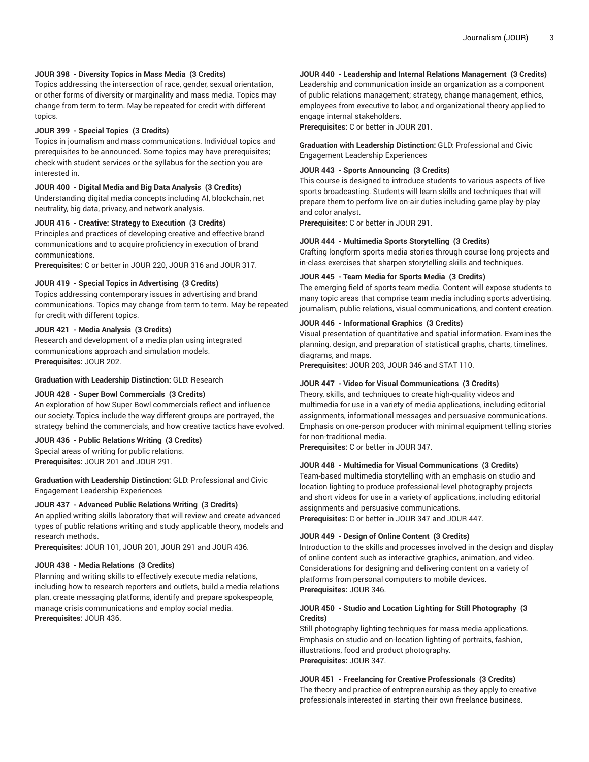## **JOUR 398 - Diversity Topics in Mass Media (3 Credits)**

Topics addressing the intersection of race, gender, sexual orientation, or other forms of diversity or marginality and mass media. Topics may change from term to term. May be repeated for credit with different topics.

## **JOUR 399 - Special Topics (3 Credits)**

Topics in journalism and mass communications. Individual topics and prerequisites to be announced. Some topics may have prerequisites; check with student services or the syllabus for the section you are interested in.

#### **JOUR 400 - Digital Media and Big Data Analysis (3 Credits)**

Understanding digital media concepts including AI, blockchain, net neutrality, big data, privacy, and network analysis.

## **JOUR 416 - Creative: Strategy to Execution (3 Credits)**

Principles and practices of developing creative and effective brand communications and to acquire proficiency in execution of brand communications.

**Prerequisites:** C or better in JOUR 220, JOUR 316 and JOUR 317.

#### **JOUR 419 - Special Topics in Advertising (3 Credits)**

Topics addressing contemporary issues in advertising and brand communications. Topics may change from term to term. May be repeated for credit with different topics.

#### **JOUR 421 - Media Analysis (3 Credits)**

Research and development of a media plan using integrated communications approach and simulation models. **Prerequisites:** JOUR 202.

**Graduation with Leadership Distinction:** GLD: Research

#### **JOUR 428 - Super Bowl Commercials (3 Credits)**

An exploration of how Super Bowl commercials reflect and influence our society. Topics include the way different groups are portrayed, the strategy behind the commercials, and how creative tactics have evolved.

#### **JOUR 436 - Public Relations Writing (3 Credits)**

Special areas of writing for public relations. **Prerequisites:** JOUR 201 and JOUR 291.

**Graduation with Leadership Distinction:** GLD: Professional and Civic Engagement Leadership Experiences

#### **JOUR 437 - Advanced Public Relations Writing (3 Credits)**

An applied writing skills laboratory that will review and create advanced types of public relations writing and study applicable theory, models and research methods.

**Prerequisites:** JOUR 101, JOUR 201, JOUR 291 and JOUR 436.

#### **JOUR 438 - Media Relations (3 Credits)**

Planning and writing skills to effectively execute media relations, including how to research reporters and outlets, build a media relations plan, create messaging platforms, identify and prepare spokespeople, manage crisis communications and employ social media. **Prerequisites:** JOUR 436.

## **JOUR 440 - Leadership and Internal Relations Management (3 Credits)**

Leadership and communication inside an organization as a component of public relations management; strategy, change management, ethics, employees from executive to labor, and organizational theory applied to engage internal stakeholders.

**Prerequisites:** C or better in JOUR 201.

**Graduation with Leadership Distinction:** GLD: Professional and Civic Engagement Leadership Experiences

## **JOUR 443 - Sports Announcing (3 Credits)**

This course is designed to introduce students to various aspects of live sports broadcasting. Students will learn skills and techniques that will prepare them to perform live on-air duties including game play-by-play and color analyst.

**Prerequisites:** C or better in JOUR 291.

#### **JOUR 444 - Multimedia Sports Storytelling (3 Credits)**

Crafting longform sports media stories through course-long projects and in-class exercises that sharpen storytelling skills and techniques.

#### **JOUR 445 - Team Media for Sports Media (3 Credits)**

The emerging field of sports team media. Content will expose students to many topic areas that comprise team media including sports advertising, journalism, public relations, visual communications, and content creation.

## **JOUR 446 - Informational Graphics (3 Credits)**

Visual presentation of quantitative and spatial information. Examines the planning, design, and preparation of statistical graphs, charts, timelines, diagrams, and maps.

**Prerequisites:** JOUR 203, JOUR 346 and STAT 110.

#### **JOUR 447 - Video for Visual Communications (3 Credits)**

Theory, skills, and techniques to create high-quality videos and multimedia for use in a variety of media applications, including editorial assignments, informational messages and persuasive communications. Emphasis on one-person producer with minimal equipment telling stories for non-traditional media.

**Prerequisites:** C or better in JOUR 347.

#### **JOUR 448 - Multimedia for Visual Communications (3 Credits)**

Team-based multimedia storytelling with an emphasis on studio and location lighting to produce professional-level photography projects and short videos for use in a variety of applications, including editorial assignments and persuasive communications. **Prerequisites:** C or better in JOUR 347 and JOUR 447.

#### **JOUR 449 - Design of Online Content (3 Credits)**

Introduction to the skills and processes involved in the design and display of online content such as interactive graphics, animation, and video. Considerations for designing and delivering content on a variety of platforms from personal computers to mobile devices. **Prerequisites:** JOUR 346.

## **JOUR 450 - Studio and Location Lighting for Still Photography (3 Credits)**

Still photography lighting techniques for mass media applications. Emphasis on studio and on-location lighting of portraits, fashion, illustrations, food and product photography. **Prerequisites:** JOUR 347.

## **JOUR 451 - Freelancing for Creative Professionals (3 Credits)**

The theory and practice of entrepreneurship as they apply to creative professionals interested in starting their own freelance business.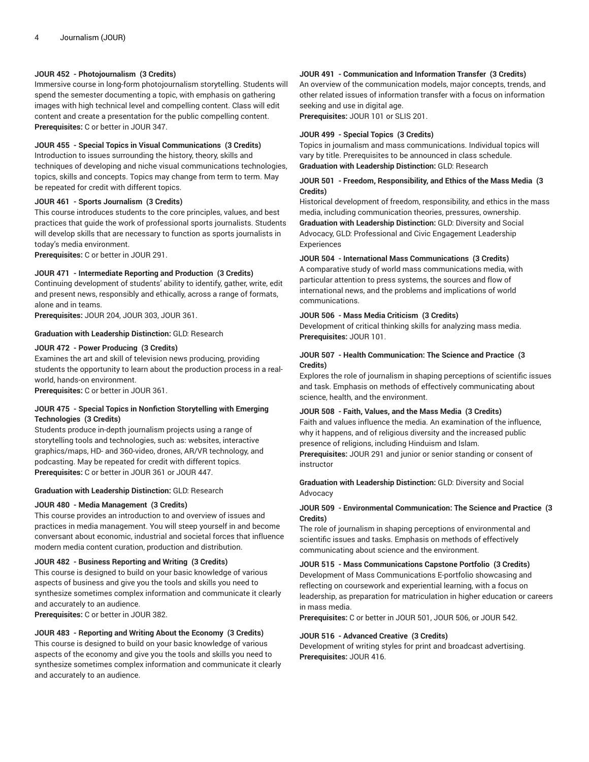# **JOUR 452 - Photojournalism (3 Credits)**

Immersive course in long-form photojournalism storytelling. Students will spend the semester documenting a topic, with emphasis on gathering images with high technical level and compelling content. Class will edit content and create a presentation for the public compelling content. **Prerequisites:** C or better in JOUR 347.

## **JOUR 455 - Special Topics in Visual Communications (3 Credits)**

Introduction to issues surrounding the history, theory, skills and techniques of developing and niche visual communications technologies, topics, skills and concepts. Topics may change from term to term. May be repeated for credit with different topics.

## **JOUR 461 - Sports Journalism (3 Credits)**

This course introduces students to the core principles, values, and best practices that guide the work of professional sports journalists. Students will develop skills that are necessary to function as sports journalists in today's media environment.

**Prerequisites:** C or better in JOUR 291.

## **JOUR 471 - Intermediate Reporting and Production (3 Credits)**

Continuing development of students' ability to identify, gather, write, edit and present news, responsibly and ethically, across a range of formats, alone and in teams.

**Prerequisites:** JOUR 204, JOUR 303, JOUR 361.

## **Graduation with Leadership Distinction:** GLD: Research

## **JOUR 472 - Power Producing (3 Credits)**

Examines the art and skill of television news producing, providing students the opportunity to learn about the production process in a realworld, hands-on environment.

**Prerequisites:** C or better in JOUR 361.

## **JOUR 475 - Special Topics in Nonfiction Storytelling with Emerging Technologies (3 Credits)**

Students produce in-depth journalism projects using a range of storytelling tools and technologies, such as: websites, interactive graphics/maps, HD- and 360-video, drones, AR/VR technology, and podcasting. May be repeated for credit with different topics. **Prerequisites:** C or better in JOUR 361 or JOUR 447.

## **Graduation with Leadership Distinction:** GLD: Research

## **JOUR 480 - Media Management (3 Credits)**

This course provides an introduction to and overview of issues and practices in media management. You will steep yourself in and become conversant about economic, industrial and societal forces that influence modern media content curation, production and distribution.

# **JOUR 482 - Business Reporting and Writing (3 Credits)**

This course is designed to build on your basic knowledge of various aspects of business and give you the tools and skills you need to synthesize sometimes complex information and communicate it clearly and accurately to an audience.

**Prerequisites:** C or better in JOUR 382.

## **JOUR 483 - Reporting and Writing About the Economy (3 Credits)**

This course is designed to build on your basic knowledge of various aspects of the economy and give you the tools and skills you need to synthesize sometimes complex information and communicate it clearly and accurately to an audience.

## **JOUR 491 - Communication and Information Transfer (3 Credits)**

An overview of the communication models, major concepts, trends, and other related issues of information transfer with a focus on information seeking and use in digital age.

**Prerequisites:** JOUR 101 or SLIS 201.

#### **JOUR 499 - Special Topics (3 Credits)**

Topics in journalism and mass communications. Individual topics will vary by title. Prerequisites to be announced in class schedule. **Graduation with Leadership Distinction:** GLD: Research

## **JOUR 501 - Freedom, Responsibility, and Ethics of the Mass Media (3 Credits)**

Historical development of freedom, responsibility, and ethics in the mass media, including communication theories, pressures, ownership. **Graduation with Leadership Distinction:** GLD: Diversity and Social Advocacy, GLD: Professional and Civic Engagement Leadership Experiences

#### **JOUR 504 - International Mass Communications (3 Credits)**

A comparative study of world mass communications media, with particular attention to press systems, the sources and flow of international news, and the problems and implications of world communications.

#### **JOUR 506 - Mass Media Criticism (3 Credits)**

Development of critical thinking skills for analyzing mass media. **Prerequisites:** JOUR 101.

## **JOUR 507 - Health Communication: The Science and Practice (3 Credits)**

Explores the role of journalism in shaping perceptions of scientific issues and task. Emphasis on methods of effectively communicating about science, health, and the environment.

## **JOUR 508 - Faith, Values, and the Mass Media (3 Credits)**

Faith and values influence the media. An examination of the influence, why it happens, and of religious diversity and the increased public presence of religions, including Hinduism and Islam.

**Prerequisites:** JOUR 291 and junior or senior standing or consent of instructor

**Graduation with Leadership Distinction:** GLD: Diversity and Social Advocacy

# **JOUR 509 - Environmental Communication: The Science and Practice (3 Credits)**

The role of journalism in shaping perceptions of environmental and scientific issues and tasks. Emphasis on methods of effectively communicating about science and the environment.

# **JOUR 515 - Mass Communications Capstone Portfolio (3 Credits)**

Development of Mass Communications E-portfolio showcasing and reflecting on coursework and experiential learning, with a focus on leadership, as preparation for matriculation in higher education or careers in mass media.

**Prerequisites:** C or better in JOUR 501, JOUR 506, or JOUR 542.

#### **JOUR 516 - Advanced Creative (3 Credits)**

Development of writing styles for print and broadcast advertising. **Prerequisites:** JOUR 416.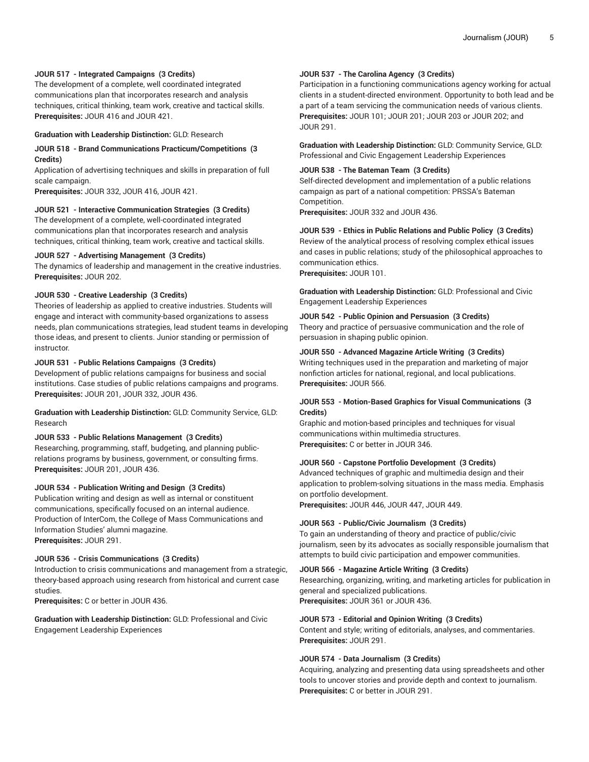## **JOUR 517 - Integrated Campaigns (3 Credits)**

The development of a complete, well coordinated integrated communications plan that incorporates research and analysis techniques, critical thinking, team work, creative and tactical skills. **Prerequisites:** JOUR 416 and JOUR 421.

#### **Graduation with Leadership Distinction:** GLD: Research

## **JOUR 518 - Brand Communications Practicum/Competitions (3 Credits)**

Application of advertising techniques and skills in preparation of full scale campaign.

**Prerequisites:** JOUR 332, JOUR 416, JOUR 421.

## **JOUR 521 - Interactive Communication Strategies (3 Credits)**

The development of a complete, well-coordinated integrated communications plan that incorporates research and analysis techniques, critical thinking, team work, creative and tactical skills.

#### **JOUR 527 - Advertising Management (3 Credits)**

The dynamics of leadership and management in the creative industries. **Prerequisites:** JOUR 202.

# **JOUR 530 - Creative Leadership (3 Credits)**

Theories of leadership as applied to creative industries. Students will engage and interact with community-based organizations to assess needs, plan communications strategies, lead student teams in developing those ideas, and present to clients. Junior standing or permission of instructor.

#### **JOUR 531 - Public Relations Campaigns (3 Credits)**

Development of public relations campaigns for business and social institutions. Case studies of public relations campaigns and programs. **Prerequisites:** JOUR 201, JOUR 332, JOUR 436.

**Graduation with Leadership Distinction:** GLD: Community Service, GLD: Research

#### **JOUR 533 - Public Relations Management (3 Credits)**

Researching, programming, staff, budgeting, and planning publicrelations programs by business, government, or consulting firms. **Prerequisites:** JOUR 201, JOUR 436.

## **JOUR 534 - Publication Writing and Design (3 Credits)**

Publication writing and design as well as internal or constituent communications, specifically focused on an internal audience. Production of InterCom, the College of Mass Communications and Information Studies' alumni magazine. **Prerequisites:** JOUR 291.

#### **JOUR 536 - Crisis Communications (3 Credits)**

Introduction to crisis communications and management from a strategic, theory-based approach using research from historical and current case studies.

**Prerequisites:** C or better in JOUR 436.

**Graduation with Leadership Distinction:** GLD: Professional and Civic Engagement Leadership Experiences

# **JOUR 537 - The Carolina Agency (3 Credits)**

Participation in a functioning communications agency working for actual clients in a student-directed environment. Opportunity to both lead and be a part of a team servicing the communication needs of various clients. **Prerequisites:** JOUR 101; JOUR 201; JOUR 203 or JOUR 202; and JOUR 291.

**Graduation with Leadership Distinction:** GLD: Community Service, GLD: Professional and Civic Engagement Leadership Experiences

# **JOUR 538 - The Bateman Team (3 Credits)**

Self-directed development and implementation of a public relations campaign as part of a national competition: PRSSA's Bateman Competition.

**Prerequisites:** JOUR 332 and JOUR 436.

**JOUR 539 - Ethics in Public Relations and Public Policy (3 Credits)** Review of the analytical process of resolving complex ethical issues and cases in public relations; study of the philosophical approaches to communication ethics.

**Prerequisites:** JOUR 101.

**Graduation with Leadership Distinction:** GLD: Professional and Civic Engagement Leadership Experiences

# **JOUR 542 - Public Opinion and Persuasion (3 Credits)**

Theory and practice of persuasive communication and the role of persuasion in shaping public opinion.

#### **JOUR 550 - Advanced Magazine Article Writing (3 Credits)**

Writing techniques used in the preparation and marketing of major nonfiction articles for national, regional, and local publications. **Prerequisites:** JOUR 566.

## **JOUR 553 - Motion-Based Graphics for Visual Communications (3 Credits)**

Graphic and motion-based principles and techniques for visual communications within multimedia structures. **Prerequisites:** C or better in JOUR 346.

#### **JOUR 560 - Capstone Portfolio Development (3 Credits)**

Advanced techniques of graphic and multimedia design and their application to problem-solving situations in the mass media. Emphasis on portfolio development.

**Prerequisites:** JOUR 446, JOUR 447, JOUR 449.

#### **JOUR 563 - Public/Civic Journalism (3 Credits)**

To gain an understanding of theory and practice of public/civic journalism, seen by its advocates as socially responsible journalism that attempts to build civic participation and empower communities.

#### **JOUR 566 - Magazine Article Writing (3 Credits)**

Researching, organizing, writing, and marketing articles for publication in general and specialized publications. **Prerequisites:** JOUR 361 or JOUR 436.

#### **JOUR 573 - Editorial and Opinion Writing (3 Credits)** Content and style; writing of editorials, analyses, and commentaries.

**Prerequisites:** JOUR 291.

## **JOUR 574 - Data Journalism (3 Credits)**

Acquiring, analyzing and presenting data using spreadsheets and other tools to uncover stories and provide depth and context to journalism. **Prerequisites:** C or better in JOUR 291.